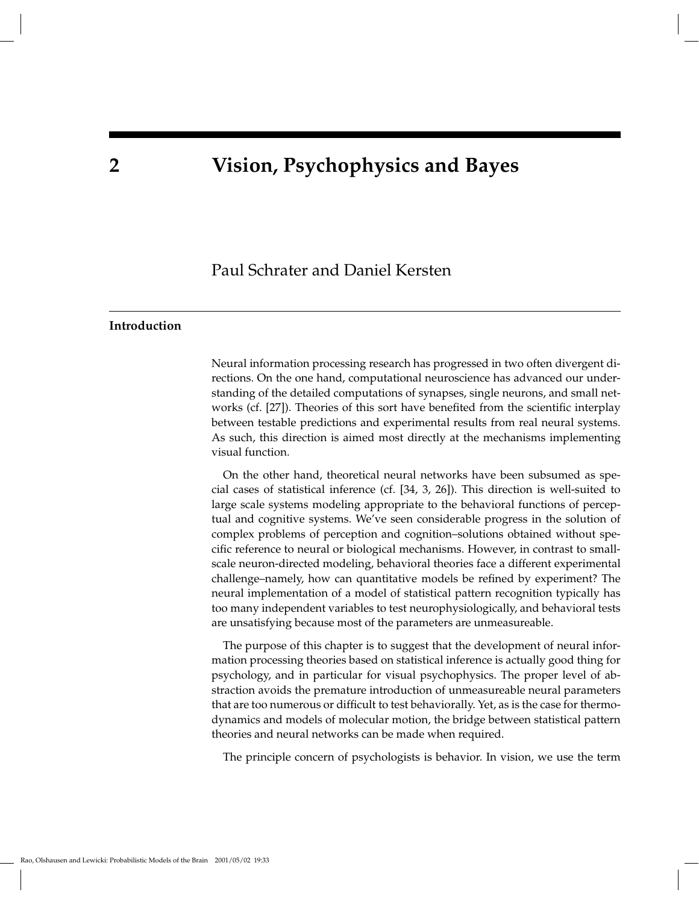# **2 Vision, Psychophysics and Bayes**

Paul Schrater and Daniel Kersten

## **Introduction**

Neural information processing research has progressed in two often divergent directions. On the one hand, computational neuroscience has advanced our understanding of the detailed computations of synapses, single neurons, and small networks (cf. [27]). Theories of this sort have benefited from the scientific interplay between testable predictions and experimental results from real neural systems. As such, this direction is aimed most directly at the mechanisms implementing visual function.

On the other hand, theoretical neural networks have been subsumed as special cases of statistical inference (cf. [34, 3, 26]). This direction is well-suited to large scale systems modeling appropriate to the behavioral functions of perceptual and cognitive systems. We've seen considerable progress in the solution of complex problems of perception and cognition–solutions obtained without specific reference to neural or biological mechanisms. However, in contrast to smallscale neuron-directed modeling, behavioral theories face a different experimental challenge–namely, how can quantitative models be refined by experiment? The neural implementation of a model of statistical pattern recognition typically has too many independent variables to test neurophysiologically, and behavioral tests are unsatisfying because most of the parameters are unmeasureable.

The purpose of this chapter is to suggest that the development of neural information processing theories based on statistical inference is actually good thing for psychology, and in particular for visual psychophysics. The proper level of abstraction avoids the premature introduction of unmeasureable neural parameters that are too numerous or difficult to test behaviorally. Yet, as is the case for thermodynamics and models of molecular motion, the bridge between statistical pattern theories and neural networks can be made when required.

The principle concern of psychologists is behavior. In vision, we use the term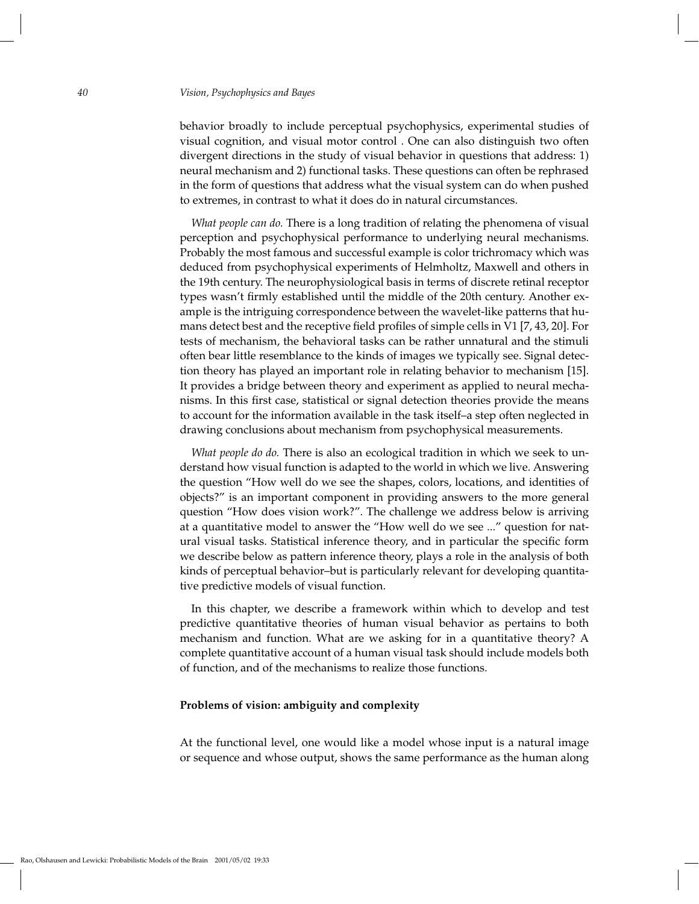behavior broadly to include perceptual psychophysics, experimental studies of visual cognition, and visual motor control . One can also distinguish two often divergent directions in the study of visual behavior in questions that address: 1) neural mechanism and 2) functional tasks. These questions can often be rephrased in the form of questions that address what the visual system can do when pushed to extremes, in contrast to what it does do in natural circumstances.

*What people can do.* There is a long tradition of relating the phenomena of visual perception and psychophysical performance to underlying neural mechanisms. Probably the most famous and successful example is color trichromacy which was deduced from psychophysical experiments of Helmholtz, Maxwell and others in the 19th century. The neurophysiological basis in terms of discrete retinal receptor types wasn't firmly established until the middle of the 20th century. Another example is the intriguing correspondence between the wavelet-like patterns that humans detect best and the receptive field profiles of simple cells in V1 [7, 43, 20]. For tests of mechanism, the behavioral tasks can be rather unnatural and the stimuli often bear little resemblance to the kinds of images we typically see. Signal detection theory has played an important role in relating behavior to mechanism [15]. It provides a bridge between theory and experiment as applied to neural mechanisms. In this first case, statistical or signal detection theories provide the means to account for the information available in the task itself–a step often neglected in drawing conclusions about mechanism from psychophysical measurements.

*What people do do.* There is also an ecological tradition in which we seek to understand how visual function is adapted to the world in which we live. Answering the question "How well do we see the shapes, colors, locations, and identities of objects?" is an important component in providing answers to the more general question "How does vision work?". The challenge we address below is arriving at a quantitative model to answer the "How well do we see ..." question for natural visual tasks. Statistical inference theory, and in particular the specific form we describe below as pattern inference theory, plays a role in the analysis of both kinds of perceptual behavior–but is particularly relevant for developing quantitative predictive models of visual function.

In this chapter, we describe a framework within which to develop and test predictive quantitative theories of human visual behavior as pertains to both mechanism and function. What are we asking for in a quantitative theory? A complete quantitative account of a human visual task should include models both of function, and of the mechanisms to realize those functions.

## **Problems of vision: ambiguity and complexity**

At the functional level, one would like a model whose input is a natural image or sequence and whose output, shows the same performance as the human along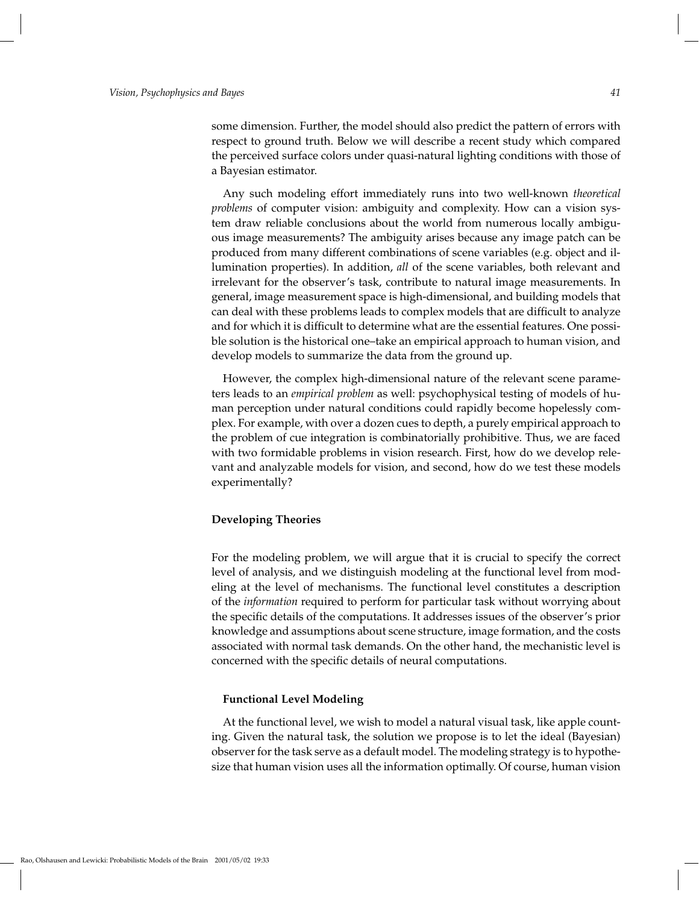some dimension. Further, the model should also predict the pattern of errors with respect to ground truth. Below we will describe a recent study which compared the perceived surface colors under quasi-natural lighting conditions with those of a Bayesian estimator.

Any such modeling effort immediately runs into two well-known *theoretical problems* of computer vision: ambiguity and complexity. How can a vision system draw reliable conclusions about the world from numerous locally ambiguous image measurements? The ambiguity arises because any image patch can be produced from many different combinations of scene variables (e.g. object and illumination properties). In addition, *all* of the scene variables, both relevant and irrelevant for the observer's task, contribute to natural image measurements. In general, image measurement space is high-dimensional, and building models that can deal with these problems leads to complex models that are difficult to analyze and for which it is difficult to determine what are the essential features. One possible solution is the historical one–take an empirical approach to human vision, and develop models to summarize the data from the ground up.

However, the complex high-dimensional nature of the relevant scene parameters leads to an *empirical problem* as well: psychophysical testing of models of human perception under natural conditions could rapidly become hopelessly complex. For example, with over a dozen cues to depth, a purely empirical approach to the problem of cue integration is combinatorially prohibitive. Thus, we are faced with two formidable problems in vision research. First, how do we develop relevant and analyzable models for vision, and second, how do we test these models experimentally?

## **Developing Theories**

For the modeling problem, we will argue that it is crucial to specify the correct level of analysis, and we distinguish modeling at the functional level from modeling at the level of mechanisms. The functional level constitutes a description of the *information* required to perform for particular task without worrying about the specific details of the computations. It addresses issues of the observer's prior knowledge and assumptions about scene structure, image formation, and the costs associated with normal task demands. On the other hand, the mechanistic level is concerned with the specific details of neural computations.

## **Functional Level Modeling**

At the functional level, we wish to model a natural visual task, like apple counting. Given the natural task, the solution we propose is to let the ideal (Bayesian) observer for the task serve as a default model. The modeling strategy is to hypothesize that human vision uses all the information optimally. Of course, human vision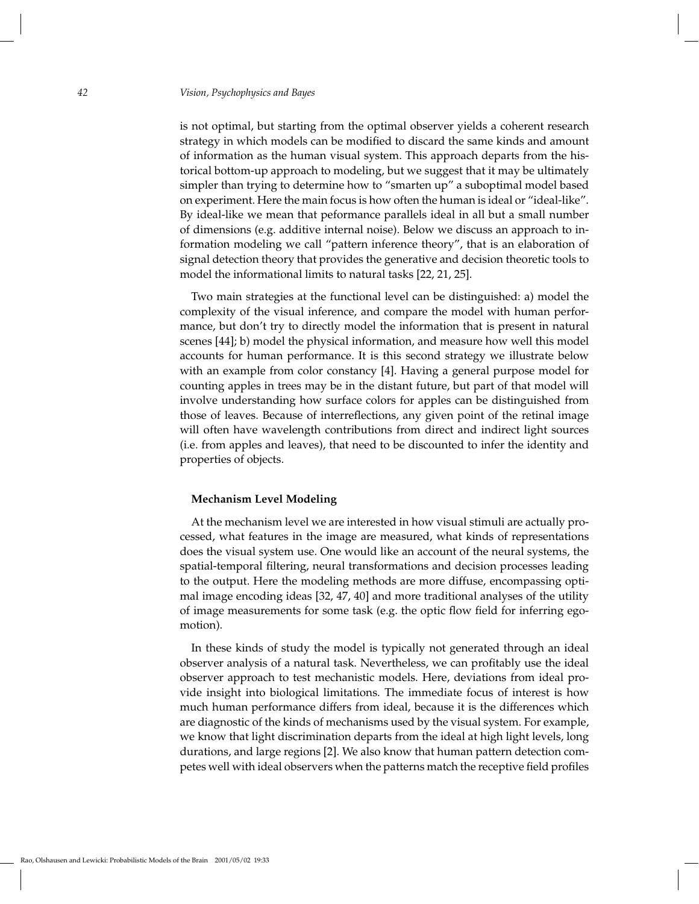is not optimal, but starting from the optimal observer yields a coherent research strategy in which models can be modified to discard the same kinds and amount of information as the human visual system. This approach departs from the historical bottom-up approach to modeling, but we suggest that it may be ultimately simpler than trying to determine how to "smarten up" a suboptimal model based on experiment. Here the main focus is how often the human is ideal or "ideal-like". By ideal-like we mean that peformance parallels ideal in all but a small number of dimensions (e.g. additive internal noise). Below we discuss an approach to information modeling we call "pattern inference theory", that is an elaboration of signal detection theory that provides the generative and decision theoretic tools to model the informational limits to natural tasks [22, 21, 25].

Two main strategies at the functional level can be distinguished: a) model the complexity of the visual inference, and compare the model with human performance, but don't try to directly model the information that is present in natural scenes [44]; b) model the physical information, and measure how well this model accounts for human performance. It is this second strategy we illustrate below with an example from color constancy [4]. Having a general purpose model for counting apples in trees may be in the distant future, but part of that model will involve understanding how surface colors for apples can be distinguished from those of leaves. Because of interreflections, any given point of the retinal image will often have wavelength contributions from direct and indirect light sources (i.e. from apples and leaves), that need to be discounted to infer the identity and properties of objects.

#### **Mechanism Level Modeling**

At the mechanism level we are interested in how visual stimuli are actually processed, what features in the image are measured, what kinds of representations does the visual system use. One would like an account of the neural systems, the spatial-temporal filtering, neural transformations and decision processes leading to the output. Here the modeling methods are more diffuse, encompassing optimal image encoding ideas [32, 47, 40] and more traditional analyses of the utility of image measurements for some task (e.g. the optic flow field for inferring egomotion).

In these kinds of study the model is typically not generated through an ideal observer analysis of a natural task. Nevertheless, we can profitably use the ideal observer approach to test mechanistic models. Here, deviations from ideal provide insight into biological limitations. The immediate focus of interest is how much human performance differs from ideal, because it is the differences which are diagnostic of the kinds of mechanisms used by the visual system. For example, we know that light discrimination departs from the ideal at high light levels, long durations, and large regions [2]. We also know that human pattern detection competes well with ideal observers when the patterns match the receptive field profiles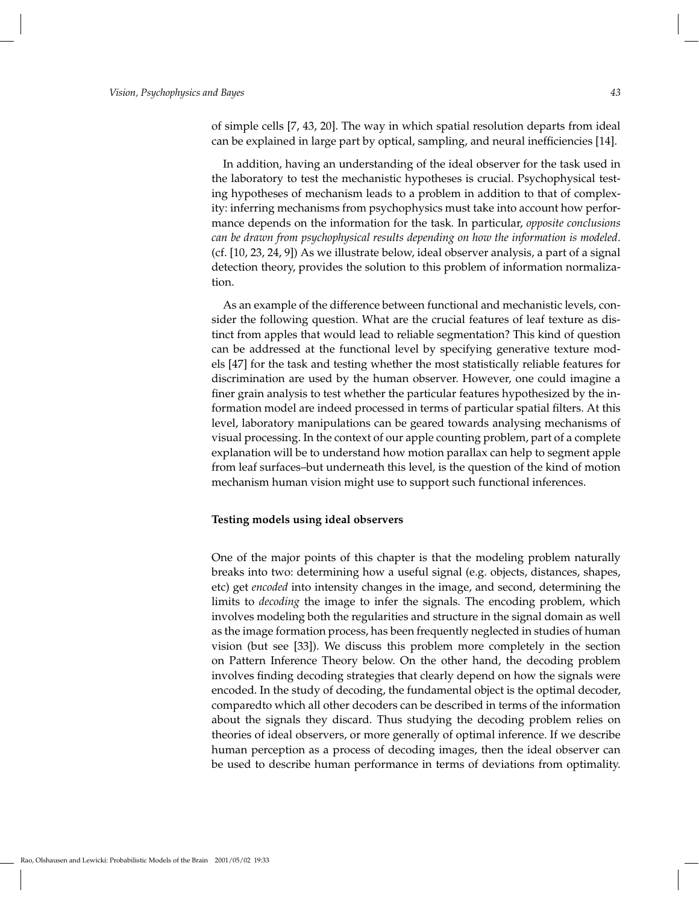of simple cells [7, 43, 20]. The way in which spatial resolution departs from ideal can be explained in large part by optical, sampling, and neural inefficiencies [14].

In addition, having an understanding of the ideal observer for the task used in the laboratory to test the mechanistic hypotheses is crucial. Psychophysical testing hypotheses of mechanism leads to a problem in addition to that of complexity: inferring mechanisms from psychophysics must take into account how performance depends on the information for the task. In particular, *opposite conclusions can be drawn from psychophysical results depending on how the information is modeled*. (cf. [10, 23, 24, 9]) As we illustrate below, ideal observer analysis, a part of a signal detection theory, provides the solution to this problem of information normalization.

As an example of the difference between functional and mechanistic levels, consider the following question. What are the crucial features of leaf texture as distinct from apples that would lead to reliable segmentation? This kind of question can be addressed at the functional level by specifying generative texture models [47] for the task and testing whether the most statistically reliable features for discrimination are used by the human observer. However, one could imagine a finer grain analysis to test whether the particular features hypothesized by the information model are indeed processed in terms of particular spatial filters. At this level, laboratory manipulations can be geared towards analysing mechanisms of visual processing. In the context of our apple counting problem, part of a complete explanation will be to understand how motion parallax can help to segment apple from leaf surfaces–but underneath this level, is the question of the kind of motion mechanism human vision might use to support such functional inferences.

## **Testing models using ideal observers**

One of the major points of this chapter is that the modeling problem naturally breaks into two: determining how a useful signal (e.g. objects, distances, shapes, etc) get *encoded* into intensity changes in the image, and second, determining the limits to *decoding* the image to infer the signals. The encoding problem, which involves modeling both the regularities and structure in the signal domain as well as the image formation process, has been frequently neglected in studies of human vision (but see [33]). We discuss this problem more completely in the section on Pattern Inference Theory below. On the other hand, the decoding problem involves finding decoding strategies that clearly depend on how the signals were encoded. In the study of decoding, the fundamental object is the optimal decoder, comparedto which all other decoders can be described in terms of the information about the signals they discard. Thus studying the decoding problem relies on theories of ideal observers, or more generally of optimal inference. If we describe human perception as a process of decoding images, then the ideal observer can be used to describe human performance in terms of deviations from optimality.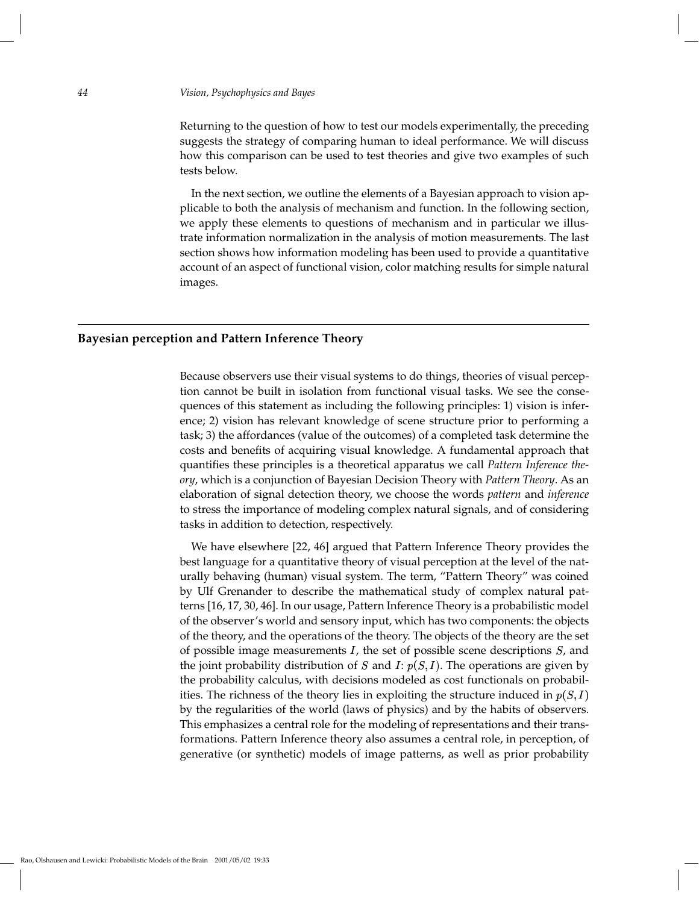Returning to the question of how to test our models experimentally, the preceding suggests the strategy of comparing human to ideal performance. We will discuss how this comparison can be used to test theories and give two examples of such tests below.

In the next section, we outline the elements of a Bayesian approach to vision applicable to both the analysis of mechanism and function. In the following section, we apply these elements to questions of mechanism and in particular we illustrate information normalization in the analysis of motion measurements. The last section shows how information modeling has been used to provide a quantitative account of an aspect of functional vision, color matching results for simple natural images.

## **Bayesian perception and Pattern Inference Theory**

Because observers use their visual systems to do things, theories of visual perception cannot be built in isolation from functional visual tasks. We see the consequences of this statement as including the following principles: 1) vision is inference; 2) vision has relevant knowledge of scene structure prior to performing a task; 3) the affordances (value of the outcomes) of a completed task determine the costs and benefits of acquiring visual knowledge. A fundamental approach that quantifies these principles is a theoretical apparatus we call *Pattern Inference theory*, which is a conjunction of Bayesian Decision Theory with *Pattern Theory*. As an elaboration of signal detection theory, we choose the words *pattern* and *inference* to stress the importance of modeling complex natural signals, and of considering tasks in addition to detection, respectively.

We have elsewhere [22, 46] argued that Pattern Inference Theory provides the best language for a quantitative theory of visual perception at the level of the naturally behaving (human) visual system. The term, "Pattern Theory" was coined by Ulf Grenander to describe the mathematical study of complex natural patterns [16, 17, 30, 46]. In our usage, Pattern Inference Theory is a probabilistic model of the observer's world and sensory input, which has two components: the objects of the theory, and the operations of the theory. The objects of the theory are the set of possible image measurements  $I$ , the set of possible scene descriptions  $S$ , and the joint probability distribution of S and I:  $p(S, I)$ . The operations are given by the probability calculus, with decisions modeled as cost functionals on probabilities. The richness of the theory lies in exploiting the structure induced in  $p(S, I)$ by the regularities of the world (laws of physics) and by the habits of observers. This emphasizes a central role for the modeling of representations and their transformations. Pattern Inference theory also assumes a central role, in perception, of generative (or synthetic) models of image patterns, as well as prior probability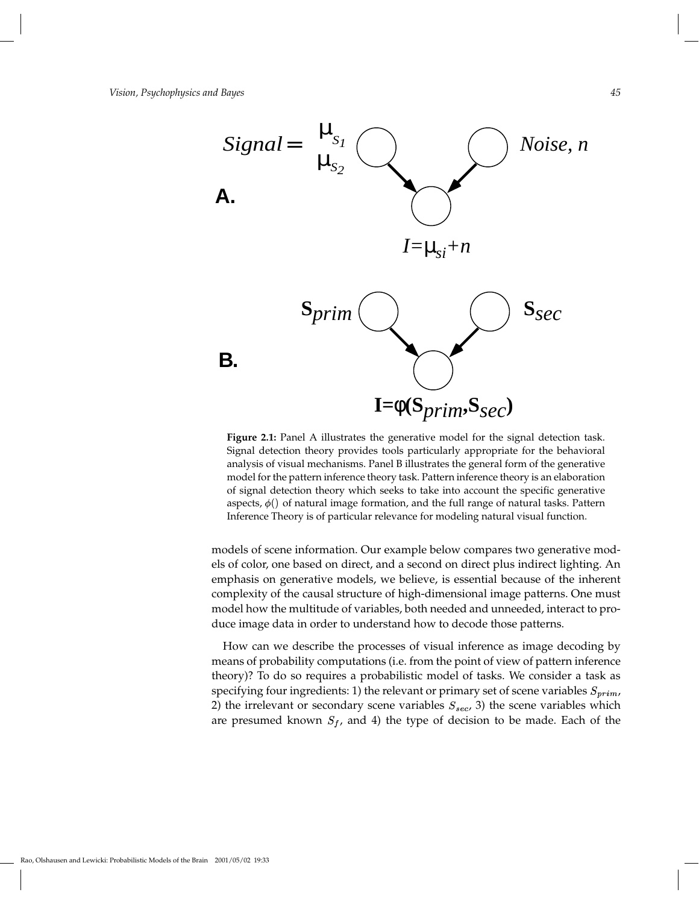

**Figure 2.1:** Panel A illustrates the generative model for the signal detection task. Signal detection theory provides tools particularly appropriate for the behavioral analysis of visual mechanisms. Panel B illustrates the general form of the generative model for the pattern inference theory task. Pattern inference theory is an elaboration of signal detection theory which seeks to take into account the specific generative aspects,  $\phi()$  of natural image formation, and the full range of natural tasks. Pattern Inference Theory is of particular relevance for modeling natural visual function.

models of scene information. Our example below compares two generative models of color, one based on direct, and a second on direct plus indirect lighting. An emphasis on generative models, we believe, is essential because of the inherent complexity of the causal structure of high-dimensional image patterns. One must model how the multitude of variables, both needed and unneeded, interact to produce image data in order to understand how to decode those patterns.

How can we describe the processes of visual inference as image decoding by means of probability computations (i.e. from the point of view of pattern inference theory)? To do so requires a probabilistic model of tasks. We consider a task as specifying four ingredients: 1) the relevant or primary set of scene variables  $S_{prim}$ , 2) the irrelevant or secondary scene variables  $S_{sec}$ , 3) the scene variables which are presumed known  $S_f$ , and 4) the type of decision to be made. Each of the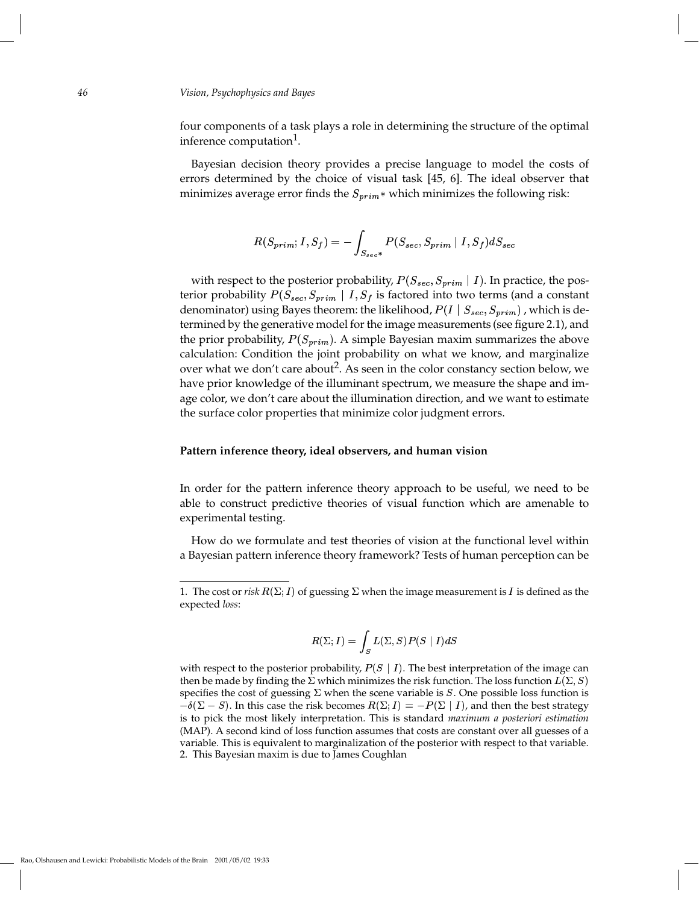#### *46 Vision, Psychophysics and Bayes*

four components of a task plays a role in determining the structure of the optimal inference computation<sup>1</sup>.

Bayesian decision theory provides a precise language to model the costs of errors determined by the choice of visual task [45, 6]. The ideal observer that minimizes average error finds the  $S_{prim}$  which minimizes the following risk:

$$
R(S_{prim}; I, S_f) = -\int_{S_{sec}*} P(S_{sec}, S_{prim} \mid I, S_f) dS_{sec}
$$

with respect to the posterior probability,  $P(S_{sec}, S_{prim} \mid I)$ . In practice, the posterior probability  $P(S_{sec}, S_{prim} \mid I, S_t$  is factored into two terms (and a constant denominator) using Bayes theorem: the likelihood,  $P(I \mid S_{sec}, S_{prim})$  , which is determined by the generative model forthe image measurements (see figure 2.1), and the prior probability,  $P(S_{prim})$ . A simple Bayesian maxim summarizes the above calculation: Condition the joint probability on what we know, and marginalize over what we don't care about<sup>2</sup>. As seen in the color constancy section below, we have prior knowledge of the illuminant spectrum, we measure the shape and image color, we don't care about the illumination direction, and we want to estimate the surface color properties that minimize color judgment errors.

## **Pattern inference theory, ideal observers, and human vision**

In order for the pattern inference theory approach to be useful, we need to be able to construct predictive theories of visual function which are amenable to experimental testing.

How do we formulate and test theories of vision at the functional level within a Bayesian pattern inference theory framework? Tests of human perception can be

$$
R(\Sigma;I)=\int_S L(\Sigma,S)P(S\mid I)dS
$$

with respect to the posterior probability,  $P(S | I)$ . The best interpretation of the image can then be made by finding the  $\Sigma$  which minimizes the risk function. The loss function  $L(\Sigma,S)$ specifies the cost of guessing  $\Sigma$  when the scene variable is S. One possible loss function is  $-\delta(\Sigma - S)$ . In this case the risk becomes  $R(\Sigma; I) = -P(\Sigma | I)$ , and then the best strategy is to pick the most likely interpretation. This is standard *maximum a posteriori estimation* (MAP). A second kind of loss function assumes that costs are constant over all guesses of a variable. This is equivalent to marginalization of the posterior with respect to that variable. 2. This Bayesian maxim is due to James Coughlan

Rao, Olshausen and Lewicki: Probabilistic Models of the Brain 2001/05/02 19:33

<sup>1.</sup> The cost or *risk*  $R(\Sigma; I)$  of guessing  $\Sigma$  when the image measurement is I is defined as the expected *loss*: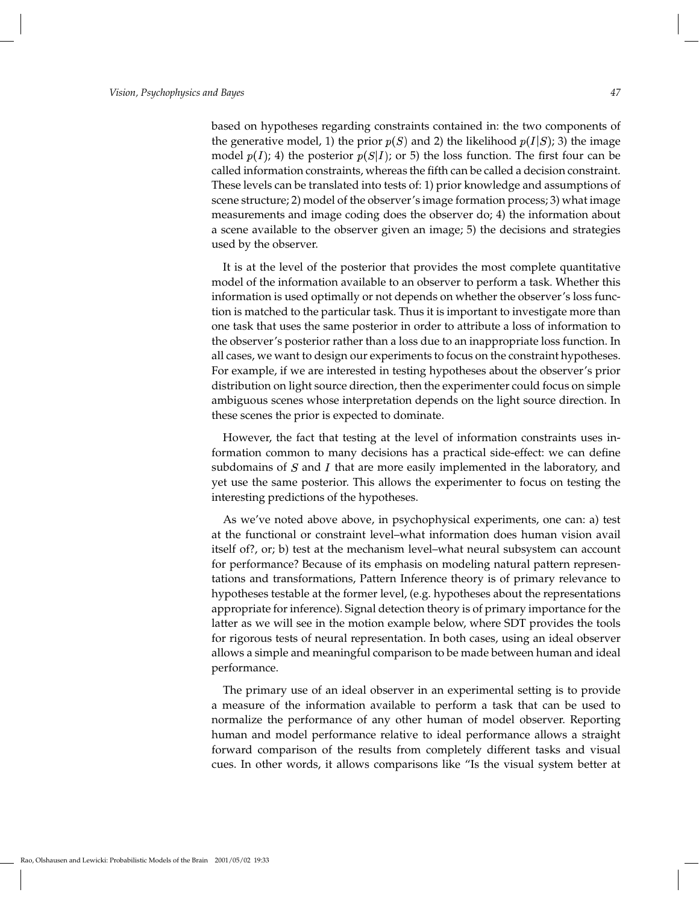based on hypotheses regarding constraints contained in: the two components of the generative model, 1) the prior  $p(S)$  and 2) the likelihood  $p(I|S)$ ; 3) the image model  $p(I)$ ; 4) the posterior  $p(S|I)$ ; or 5) the loss function. The first four can be called information constraints, whereas the fifth can be called a decision constraint. These levels can be translated into tests of: 1) prior knowledge and assumptions of scene structure; 2) model of the observer's image formation process; 3) what image measurements and image coding does the observer do; 4) the information about a scene available to the observer given an image; 5) the decisions and strategies used by the observer.

It is at the level of the posterior that provides the most complete quantitative model of the information available to an observer to perform a task. Whether this information is used optimally or not depends on whether the observer's loss function is matched to the particular task. Thus it is important to investigate more than one task that uses the same posterior in order to attribute a loss of information to the observer's posterior rather than a loss due to an inappropriate loss function. In all cases, we want to design our experiments to focus on the constraint hypotheses. For example, if we are interested in testing hypotheses about the observer's prior distribution on light source direction, then the experimenter could focus on simple ambiguous scenes whose interpretation depends on the light source direction. In these scenes the prior is expected to dominate.

However, the fact that testing at the level of information constraints uses information common to many decisions has a practical side-effect: we can define subdomains of  $S$  and  $I$  that are more easily implemented in the laboratory, and yet use the same posterior. This allows the experimenter to focus on testing the interesting predictions of the hypotheses.

As we've noted above above, in psychophysical experiments, one can: a) test at the functional or constraint level–what information does human vision avail itself of?, or; b) test at the mechanism level–what neural subsystem can account for performance? Because of its emphasis on modeling natural pattern representations and transformations, Pattern Inference theory is of primary relevance to hypotheses testable at the former level, (e.g. hypotheses about the representations appropriate for inference). Signal detection theory is of primary importance for the latter as we will see in the motion example below, where SDT provides the tools for rigorous tests of neural representation. In both cases, using an ideal observer allows a simple and meaningful comparison to be made between human and ideal performance.

The primary use of an ideal observer in an experimental setting is to provide a measure of the information available to perform a task that can be used to normalize the performance of any other human of model observer. Reporting human and model performance relative to ideal performance allows a straight forward comparison of the results from completely different tasks and visual cues. In other words, it allows comparisons like "Is the visual system better at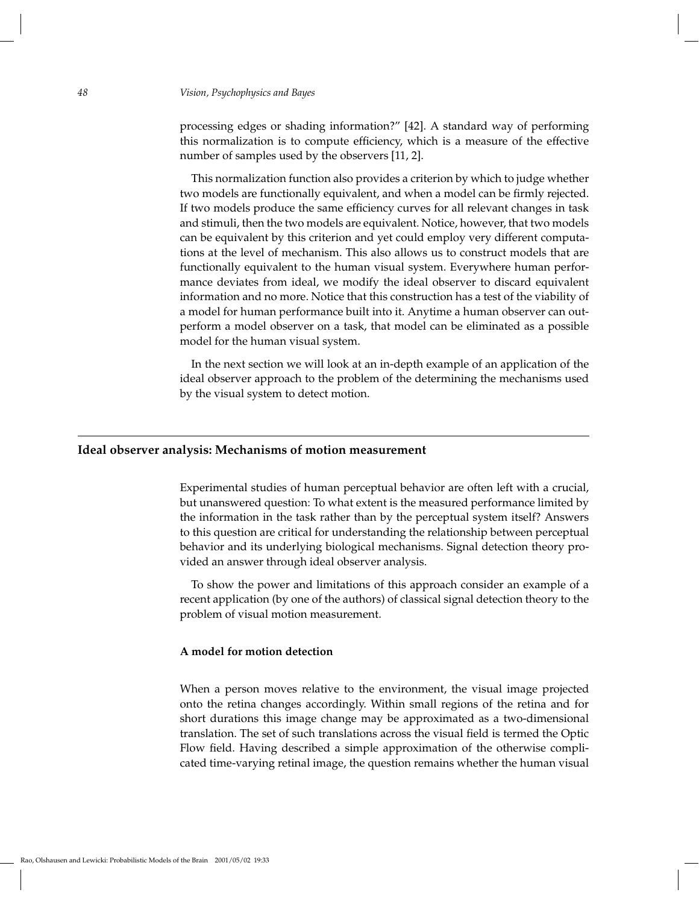processing edges or shading information?" [42]. A standard way of performing this normalization is to compute efficiency, which is a measure of the effective number of samples used by the observers [11, 2].

This normalization function also provides a criterion by which to judge whether two models are functionally equivalent, and when a model can be firmly rejected. If two models produce the same efficiency curves for all relevant changes in task and stimuli, then the two models are equivalent. Notice, however, that two models can be equivalent by this criterion and yet could employ very different computations at the level of mechanism. This also allows us to construct models that are functionally equivalent to the human visual system. Everywhere human performance deviates from ideal, we modify the ideal observer to discard equivalent information and no more. Notice that this construction has a test of the viability of a model for human performance built into it. Anytime a human observer can outperform a model observer on a task, that model can be eliminated as a possible model for the human visual system.

In the next section we will look at an in-depth example of an application of the ideal observer approach to the problem of the determining the mechanisms used by the visual system to detect motion.

## **Ideal observer analysis: Mechanisms of motion measurement**

Experimental studies of human perceptual behavior are often left with a crucial, but unanswered question: To what extent is the measured performance limited by the information in the task rather than by the perceptual system itself? Answers to this question are critical for understanding the relationship between perceptual behavior and its underlying biological mechanisms. Signal detection theory provided an answer through ideal observer analysis.

To show the power and limitations of this approach consider an example of a recent application (by one of the authors) of classical signal detection theory to the problem of visual motion measurement.

## **A model for motion detection**

When a person moves relative to the environment, the visual image projected onto the retina changes accordingly. Within small regions of the retina and for short durations this image change may be approximated as a two-dimensional translation. The set of such translations across the visual field is termed the Optic Flow field. Having described a simple approximation of the otherwise complicated time-varying retinal image, the question remains whether the human visual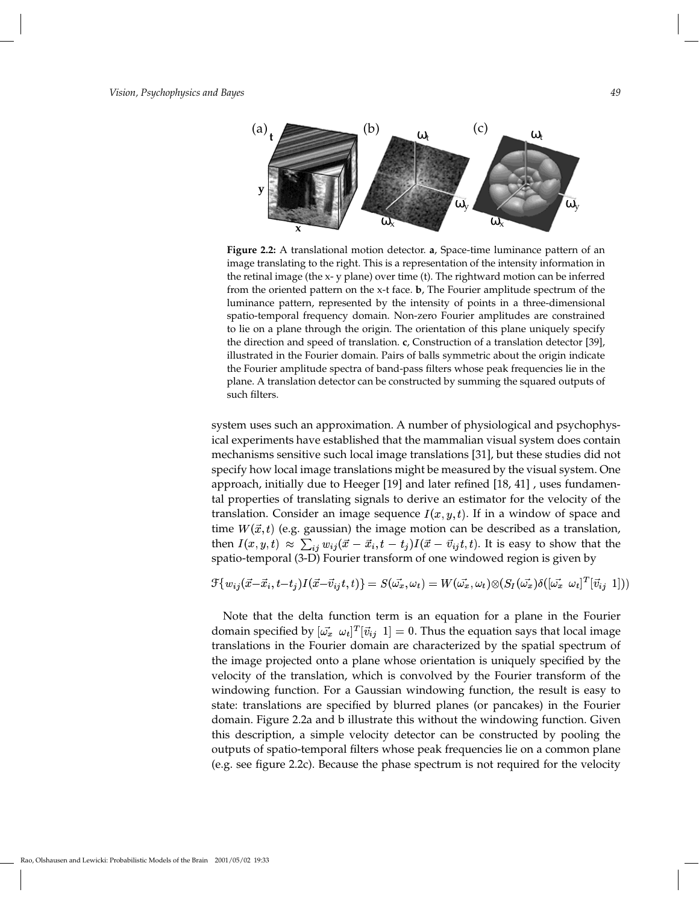

**Figure 2.2:** A translational motion detector. **a**, Space-time luminance pattern of an image translating to the right. This is a representation of the intensity information in the retinal image (the x- y plane) over time (t). The rightward motion can be inferred from the oriented pattern on the x-t face. **b**, The Fourier amplitude spectrum of the luminance pattern, represented by the intensity of points in a three-dimensional spatio-temporal frequency domain. Non-zero Fourier amplitudes are constrained to lie on a plane through the origin. The orientation of this plane uniquely specify the direction and speed of translation. **c**, Construction of a translation detector [39], illustrated in the Fourier domain. Pairs of balls symmetric about the origin indicate the Fourier amplitude spectra of band-pass filters whose peak frequencies lie in the plane. A translation detector can be constructed by summing the squared outputs of such filters.

system uses such an approximation. A number of physiological and psychophysical experiments have established that the mammalian visual system does contain mechanisms sensitive such local image translations [31], but these studies did not specify how local image translations might be measured by the visual system. One approach, initially due to Heeger [19] and later refined [18, 41] , uses fundamental properties of translating signals to derive an estimator for the velocity of the translation. Consider an image sequence  $I(x, y, t)$ . If in a window of space and time  $W(\vec{x},t)$  (e.g. gaussian) the image motion can be described as a translation, then  $I(x, y, t) \approx \sum_{i,j} w_{ij}(\vec{x} - \vec{x}_i, t - t_j) I(\vec{x} - \vec{v}_{ij}t, t)$ . It is easy to show that the spatio-temporal (3-D) Fourier transform of one windowed region is given by

$$
\mathcal{F}\{w_{ij}(\vec{x}-\vec{x_i},t-t_j)I(\vec{x}-\vec{v}_{ij}t,t)\}=S(\vec{\omega_x},\omega_t)=W(\vec{\omega_x},\omega_t)\otimes (S_I(\vec{\omega_x})\delta([\vec{\omega_x}\:\: \omega_t]^T[\vec{v}_{ij}\:\: 1]))
$$

Note that the delta function term is an equation for a plane in the Fourier domain specified by  $[\vec{\omega_x} \ \omega_t]^T [\vec{v}_{ij} \ 1] = 0$ . Thus the equation says that local image translations in the Fourier domain are characterized by the spatial spectrum of the image projected onto a plane whose orientation is uniquely specified by the velocity of the translation, which is convolved by the Fourier transform of the windowing function. For a Gaussian windowing function, the result is easy to state: translations are specified by blurred planes (or pancakes) in the Fourier domain. Figure 2.2a and b illustrate this without the windowing function. Given this description, a simple velocity detector can be constructed by pooling the outputs of spatio-temporal filters whose peak frequencies lie on a common plane (e.g. see figure 2.2c). Because the phase spectrum is not required for the velocity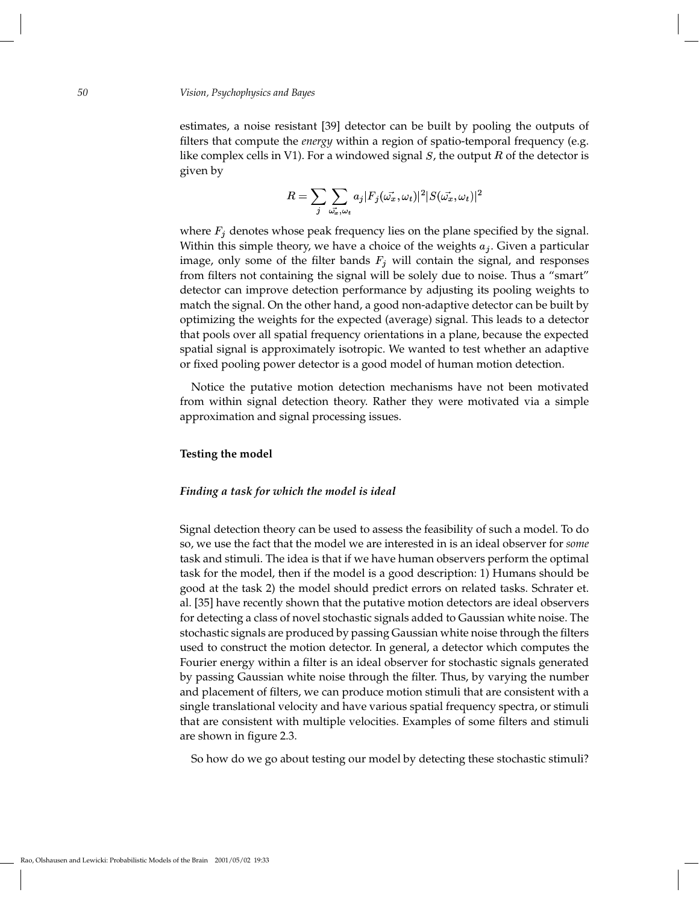*50 Vision, Psychophysics and Bayes*

estimates, a noise resistant [39] detector can be built by pooling the outputs of filters that compute the *energy* within a region of spatio-temporal frequency (e.g. like complex cells in V1). For a windowed signal  $S$ , the output  $R$  of the detector is given by

$$
R=\sum_j\sum_{\vec{\omega_x},\omega_t}a_j|F_j(\vec{\omega_x},\omega_t)|^2|S(\vec{\omega_x},\omega_t)|^2
$$

where  $F_i$  denotes whose peak frequency lies on the plane specified by the signal. Within this simple theory, we have a choice of the weights  $a_j$ . Given a particular image, only some of the filter bands  $F_i$  will contain the signal, and responses from filters not containing the signal will be solely due to noise. Thus a "smart" detector can improve detection performance by adjusting its pooling weights to match the signal. On the other hand, a good non-adaptive detector can be built by optimizing the weights for the expected (average) signal. This leads to a detector that pools over all spatial frequency orientations in a plane, because the expected spatial signal is approximately isotropic. We wanted to test whether an adaptive or fixed pooling power detector is a good model of human motion detection.

Notice the putative motion detection mechanisms have not been motivated from within signal detection theory. Rather they were motivated via a simple approximation and signal processing issues.

## **Testing the model**

#### *Finding a task for which the model is ideal*

Signal detection theory can be used to assess the feasibility of such a model. To do so, we use the fact that the model we are interested in is an ideal observer for *some* task and stimuli. The idea is that if we have human observers perform the optimal task for the model, then if the model is a good description: 1) Humans should be good at the task 2) the model should predict errors on related tasks. Schrater et. al. [35] have recently shown that the putative motion detectors are ideal observers for detecting a class of novel stochastic signals added to Gaussian white noise. The stochastic signals are produced by passing Gaussian white noise through the filters used to construct the motion detector. In general, a detector which computes the Fourier energy within a filter is an ideal observer for stochastic signals generated by passing Gaussian white noise through the filter. Thus, by varying the number and placement of filters, we can produce motion stimuli that are consistent with a single translational velocity and have various spatial frequency spectra, or stimuli that are consistent with multiple velocities. Examples of some filters and stimuli are shown in figure 2.3.

So how do we go about testing our model by detecting these stochastic stimuli?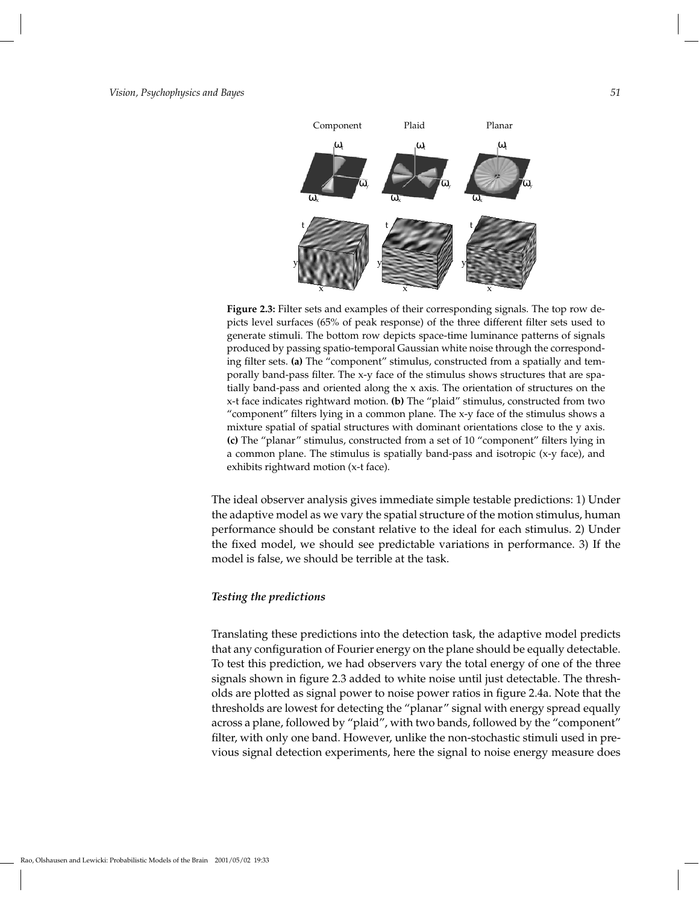

**Figure 2.3:** Filter sets and examples of their corresponding signals. The top row depicts level surfaces (65% of peak response) of the three different filter sets used to generate stimuli. The bottom row depicts space-time luminance patterns of signals produced by passing spatio-temporal Gaussian white noise through the corresponding filter sets. **(a)** The "component" stimulus, constructed from a spatially and temporally band-pass filter. The x-y face of the stimulus shows structures that are spatially band-pass and oriented along the x axis. The orientation of structures on the x-t face indicates rightward motion. **(b)** The "plaid" stimulus, constructed from two "component" filters lying in a common plane. The x-y face of the stimulus shows a mixture spatial of spatial structures with dominant orientations close to the y axis. **(c)** The "planar" stimulus, constructed from a set of 10 "component" filters lying in a common plane. The stimulus is spatially band-pass and isotropic (x-y face), and exhibits rightward motion (x-t face).

The ideal observer analysis gives immediate simple testable predictions: 1) Under the adaptive model as we vary the spatial structure of the motion stimulus, human performance should be constant relative to the ideal for each stimulus. 2) Under the fixed model, we should see predictable variations in performance. 3) If the model is false, we should be terrible at the task.

## *Testing the predictions*

Translating these predictions into the detection task, the adaptive model predicts that any configuration of Fourier energy on the plane should be equally detectable. To test this prediction, we had observers vary the total energy of one of the three signals shown in figure 2.3 added to white noise until just detectable. The thresholds are plotted as signal power to noise power ratios in figure 2.4a. Note that the thresholds are lowest for detecting the "planar" signal with energy spread equally across a plane, followed by "plaid", with two bands, followed by the "component" filter, with only one band. However, unlike the non-stochastic stimuli used in previous signal detection experiments, here the signal to noise energy measure does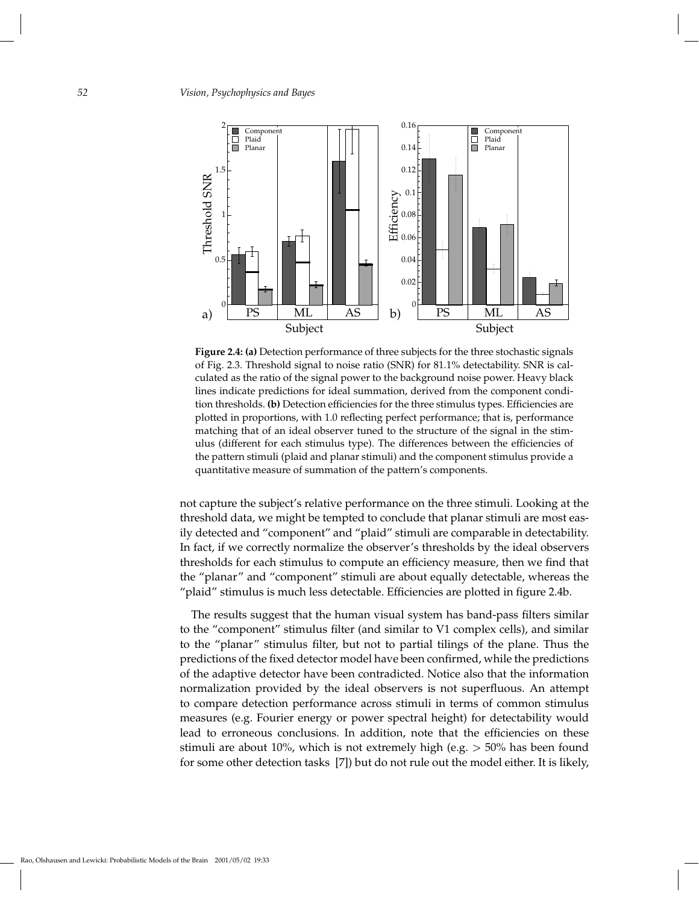

**Figure 2.4: (a)** Detection performance of three subjects for the three stochastic signals of Fig. 2.3. Threshold signal to noise ratio (SNR) for 81.1% detectability. SNR is calculated as the ratio of the signal power to the background noise power. Heavy black lines indicate predictions for ideal summation, derived from the component condition thresholds. **(b)** Detection efficiencies for the three stimulus types. Efficiencies are plotted in proportions, with 1.0 reflecting perfect performance; that is, performance matching that of an ideal observer tuned to the structure of the signal in the stimulus (different for each stimulus type). The differences between the efficiencies of the pattern stimuli (plaid and planar stimuli) and the component stimulus provide a quantitative measure of summation of the pattern's components.

not capture the subject's relative performance on the three stimuli. Looking at the threshold data, we might be tempted to conclude that planar stimuli are most easily detected and "component" and "plaid" stimuli are comparable in detectability. In fact, if we correctly normalize the observer's thresholds by the ideal observers thresholds for each stimulus to compute an efficiency measure, then we find that the "planar" and "component" stimuli are about equally detectable, whereas the "plaid" stimulus is much less detectable. Efficiencies are plotted in figure 2.4b.

The results suggest that the human visual system has band-pass filters similar to the "component" stimulus filter (and similar to V1 complex cells), and similar to the "planar" stimulus filter, but not to partial tilings of the plane. Thus the predictions of the fixed detector model have been confirmed, while the predictions of the adaptive detector have been contradicted. Notice also that the information normalization provided by the ideal observers is not superfluous. An attempt to compare detection performance across stimuli in terms of common stimulus measures (e.g. Fourier energy or power spectral height) for detectability would lead to erroneous conclusions. In addition, note that the efficiencies on these stimuli are about 10%, which is not extremely high (e.g. 50% has been found for some other detection tasks [7]) but do not rule out the model either. It is likely,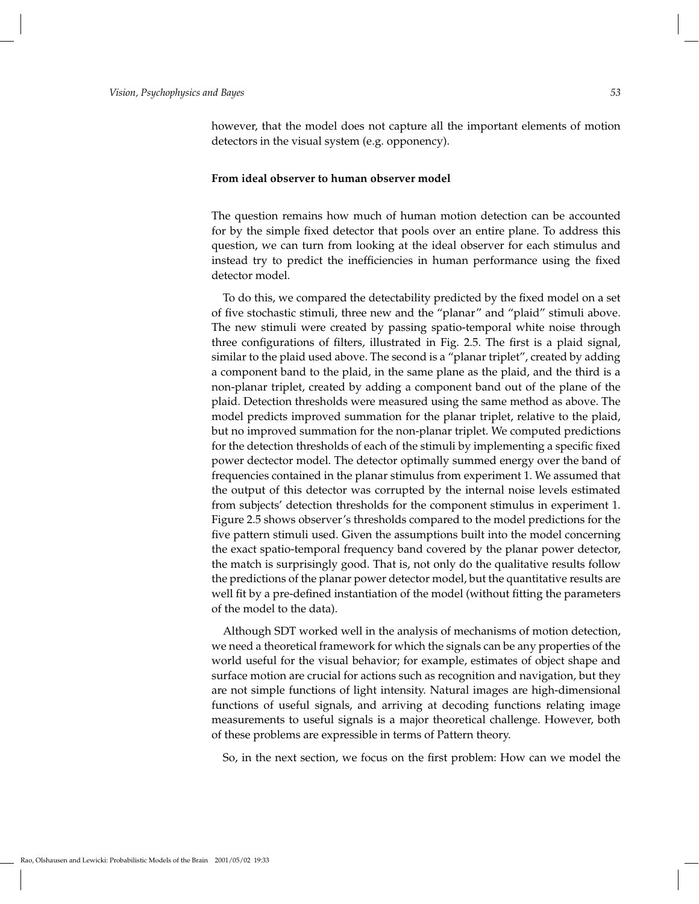however, that the model does not capture all the important elements of motion detectors in the visual system (e.g. opponency).

### **From ideal observer to human observer model**

The question remains how much of human motion detection can be accounted for by the simple fixed detector that pools over an entire plane. To address this question, we can turn from looking at the ideal observer for each stimulus and instead try to predict the inefficiencies in human performance using the fixed detector model.

To do this, we compared the detectability predicted by the fixed model on a set of five stochastic stimuli, three new and the "planar" and "plaid" stimuli above. The new stimuli were created by passing spatio-temporal white noise through three configurations of filters, illustrated in Fig. 2.5. The first is a plaid signal, similar to the plaid used above. The second is a "planar triplet", created by adding a component band to the plaid, in the same plane as the plaid, and the third is a non-planar triplet, created by adding a component band out of the plane of the plaid. Detection thresholds were measured using the same method as above. The model predicts improved summation for the planar triplet, relative to the plaid, but no improved summation for the non-planar triplet. We computed predictions for the detection thresholds of each of the stimuli by implementing a specific fixed power dectector model. The detector optimally summed energy over the band of frequencies contained in the planar stimulus from experiment 1. We assumed that the output of this detector was corrupted by the internal noise levels estimated from subjects' detection thresholds for the component stimulus in experiment 1. Figure 2.5 shows observer's thresholds compared to the model predictions for the five pattern stimuli used. Given the assumptions built into the model concerning the exact spatio-temporal frequency band covered by the planar power detector, the match is surprisingly good. That is, not only do the qualitative results follow the predictions of the planar power detector model, but the quantitative results are well fit by a pre-defined instantiation of the model (without fitting the parameters of the model to the data).

Although SDT worked well in the analysis of mechanisms of motion detection, we need a theoretical framework for which the signals can be any properties of the world useful for the visual behavior; for example, estimates of object shape and surface motion are crucial for actions such as recognition and navigation, but they are not simple functions of light intensity. Natural images are high-dimensional functions of useful signals, and arriving at decoding functions relating image measurements to useful signals is a major theoretical challenge. However, both of these problems are expressible in terms of Pattern theory.

So, in the next section, we focus on the first problem: How can we model the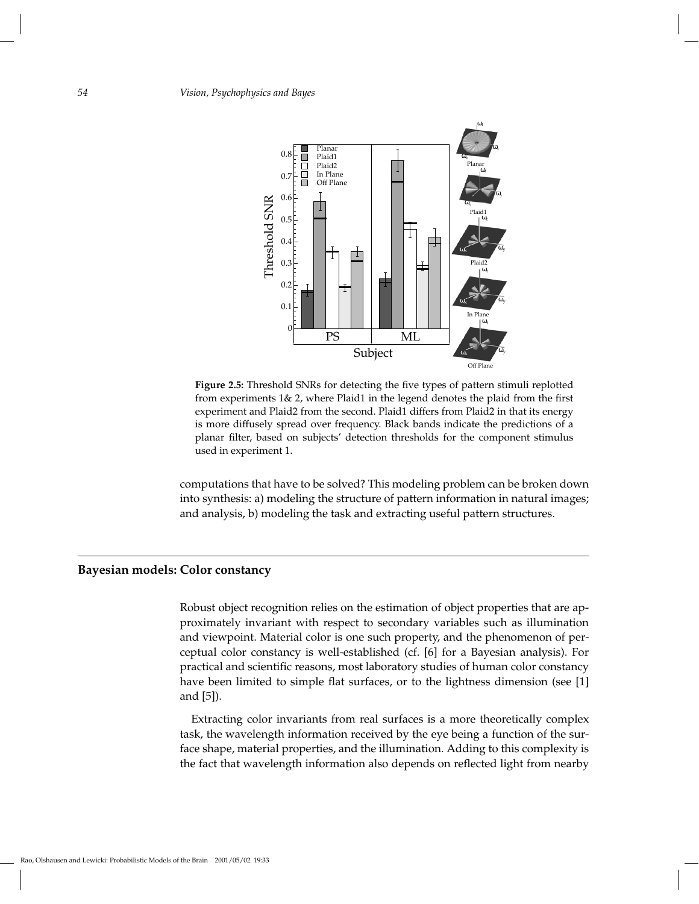

**Figure 2.5:** Threshold SNRs for detecting the five types of pattern stimuli replotted from experiments  $1\& 2$ , where Plaid1 in the legend denotes the plaid from the first experiment and Plaid2 from the second. Plaid1 differs from Plaid2 in that its energy is more diffusely spread over frequency. Black bands indicate the predictions of a planar filter, based on subjects' detection thresholds for the component stimulus used in experiment 1.

computations that have to be solved? This modeling problem can be broken down into synthesis: a) modeling the structure of pattern information in natural images; and analysis, b) modeling the task and extracting useful pattern structures.

## **Bayesian models: Color constancy**

Robust object recognition relies on the estimation of object properties that are approximately invariant with respect to secondary variables such as illumination and viewpoint. Material color is one such property, and the phenomenon of perceptual color constancy is well-established (cf. [6] for a Bayesian analysis). For practical and scientific reasons, most laboratory studies of human color constancy have been limited to simple flat surfaces, or to the lightness dimension (see [1] and [5]).

Extracting color invariants from real surfaces is a more theoretically complex task, the wavelength information received by the eye being a function of the surface shape, material properties, and the illumination. Adding to this complexity is the fact that wavelength information also depends on reflected light from nearby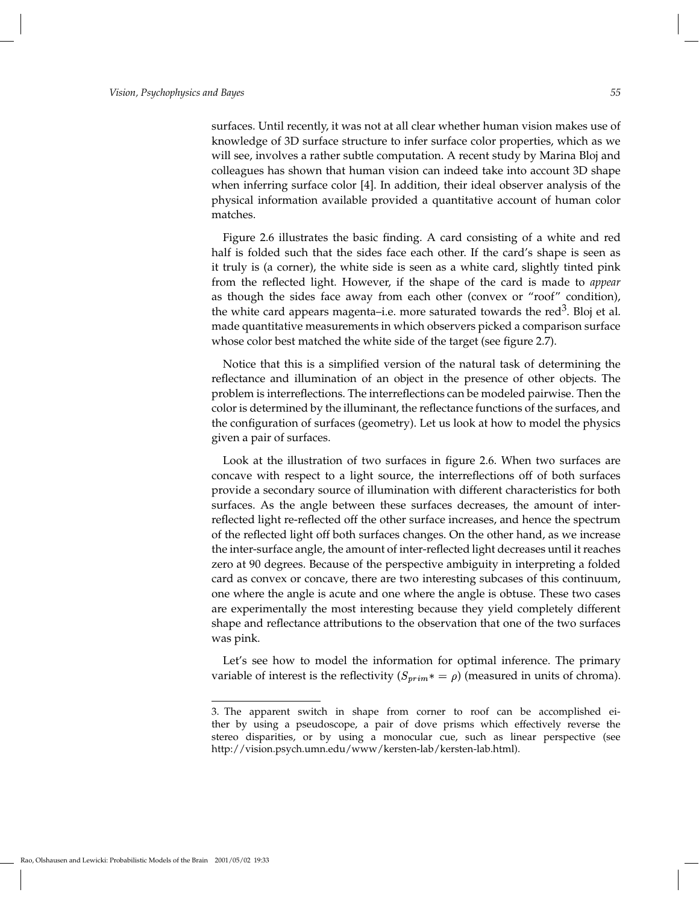surfaces. Until recently, it was not at all clear whether human vision makes use of knowledge of 3D surface structure to infer surface color properties, which as we will see, involves a rather subtle computation. A recent study by Marina Bloj and colleagues has shown that human vision can indeed take into account 3D shape when inferring surface color [4]. In addition, their ideal observer analysis of the physical information available provided a quantitative account of human color matches.

Figure 2.6 illustrates the basic finding. A card consisting of a white and red half is folded such that the sides face each other. If the card's shape is seen as it truly is (a corner), the white side is seen as a white card, slightly tinted pink from the reflected light. However, if the shape of the card is made to *appear* as though the sides face away from each other (convex or "roof" condition), the white card appears magenta–i.e. more saturated towards the red<sup>3</sup>. Bloj et al. made quantitative measurements in which observers picked a comparison surface whose color best matched the white side of the target (see figure 2.7).

Notice that this is a simplified version of the natural task of determining the reflectance and illumination of an object in the presence of other objects. The problem is interreflections. The interreflections can be modeled pairwise. Then the color is determined by the illuminant, the reflectance functions of the surfaces, and the configuration of surfaces (geometry). Let us look at how to model the physics given a pair of surfaces.

Look at the illustration of two surfaces in figure 2.6. When two surfaces are concave with respect to a light source, the interreflections off of both surfaces provide a secondary source of illumination with different characteristics for both surfaces. As the angle between these surfaces decreases, the amount of interreflected light re-reflected off the other surface increases, and hence the spectrum of the reflected light off both surfaces changes. On the other hand, as we increase the inter-surface angle, the amount of inter-reflected light decreases until it reaches zero at 90 degrees. Because of the perspective ambiguity in interpreting a folded card as convex or concave, there are two interesting subcases of this continuum, one where the angle is acute and one where the angle is obtuse. These two cases are experimentally the most interesting because they yield completely different shape and reflectance attributions to the observation that one of the two surfaces was pink.

Let's see how to model the information for optimal inference. The primary variable of interest is the reflectivity  $(S_{prim} = \rho)$  (measured in units of chroma).

<sup>3.</sup> The apparent switch in shape from corner to roof can be accomplished either by using a pseudoscope, a pair of dove prisms which effectively reverse the stereo disparities, or by using a monocular cue, such as linear perspective (see http://vision.psych.umn.edu/www/kersten-lab/kersten-lab.html).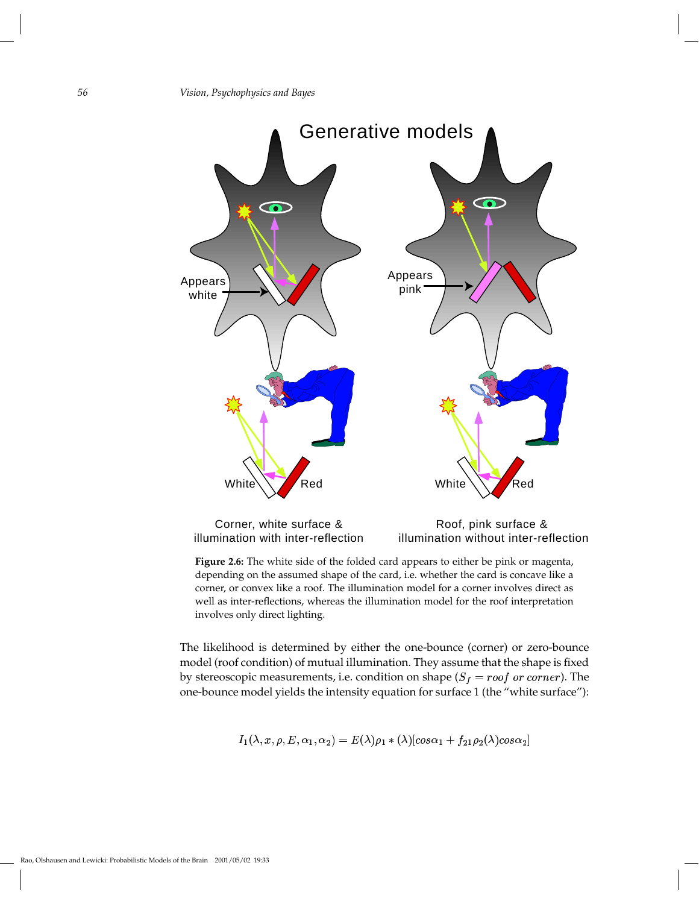

Corner, white surface & illumination with inter-reflection

Roof, pink surface & illumination without inter-reflection

**Figure 2.6:** The white side of the folded card appears to either be pink or magenta, depending on the assumed shape of the card, i.e. whether the card is concave like a corner, or convex like a roof. The illumination model for a corner involves direct as well as inter-reflections, whereas the illumination model for the roof interpretation involves only direct lighting.

The likelihood is determined by either the one-bounce (corner) or zero-bounce model (roof condition) of mutual illumination. They assume that the shape is fixed by stereoscopic measurements, i.e. condition on shape ( $S_f = roof\; or\; corner$ ). The one-bounce model yields the intensity equation for surface 1 (the "white surface"):

$$
I_1(\lambda,x,\rho,E,\alpha_1,\alpha_2)=E(\lambda)\rho_1*(\lambda)[cos\alpha_1+f_{21}\rho_2(\lambda)cos\alpha_2]
$$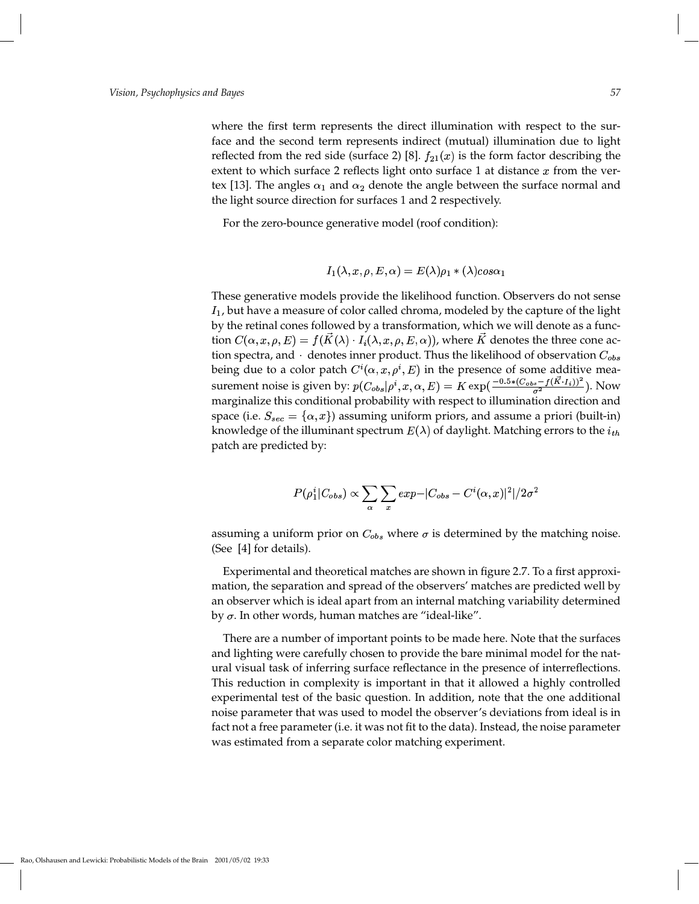where the first term represents the direct illumination with respect to the surface and the second term represents indirect (mutual) illumination due to light reflected from the red side (surface 2) [8].  $f_{21}(x)$  is the form factor describing the extent to which surface 2 reflects light onto surface 1 at distance  $x$  from the vertex [13]. The angles  $\alpha_1$  and  $\alpha_2$  denote the angle between the surface normal and the light source direction for surfaces 1 and 2 respectively.

For the zero-bounce generative model (roof condition):

$$
I_1(\lambda,x,\rho,E,\alpha)=E(\lambda)\rho_1*(\lambda)cos\alpha_1
$$

These generative models provide the likelihood function. Observers do not sense  $I_1$ , but have a measure of color called chroma, modeled by the capture of the light by the retinal cones followed by a transformation, which we will denote as a function  $C(\alpha,x,\rho,E)=f(\vec{K}(\lambda)\cdot I_i(\lambda,x,\rho,E,\alpha)),$  where  $\vec{K}$  denotes the three cone action spectra, and  $\cdot$  denotes inner product. Thus the likelihood of observation  $C_{obs}$ being due to a color patch  $C^i(\alpha, x, \rho^i, E)$  in the presence of some additive measurement noise is given by:  $p(C_{obs}|\rho^i, x, \alpha, E) = K \exp(\frac{-(0.5*(C_{obs} - f(K \cdot I_i))^2}{\sigma^2}).$  Now marginalize this conditional probability with respect to illumination direction and space (i.e.  $S_{sec} = {\alpha, x}$ ) assuming uniform priors, and assume a priori (built-in) knowledge of the illuminant spectrum  $E(\lambda)$  of daylight. Matching errors to the  $i_{th}$ patch are predicted by:

$$
P(\rho_1^i|C_{obs})\propto \sum_{\alpha}\sum_xexp{-|C_{obs}-C^i(\alpha,x)|^2|/2\sigma^2}
$$

assuming a uniform prior on  $C_{obs}$  where  $\sigma$  is determined by the matching noise. (See [4] for details).

Experimental and theoretical matches are shown in figure 2.7. To a first approximation, the separation and spread of the observers' matches are predicted well by an observer which is ideal apart from an internal matching variability determined by  $\sigma$ . In other words, human matches are "ideal-like".

There are a number of important points to be made here. Note that the surfaces and lighting were carefully chosen to provide the bare minimal model for the natural visual task of inferring surface reflectance in the presence of interreflections. This reduction in complexity is important in that it allowed a highly controlled experimental test of the basic question. In addition, note that the one additional noise parameter that was used to model the observer's deviations from ideal is in fact not a free parameter (i.e. it was not fit to the data). Instead, the noise parameter was estimated from a separate color matching experiment.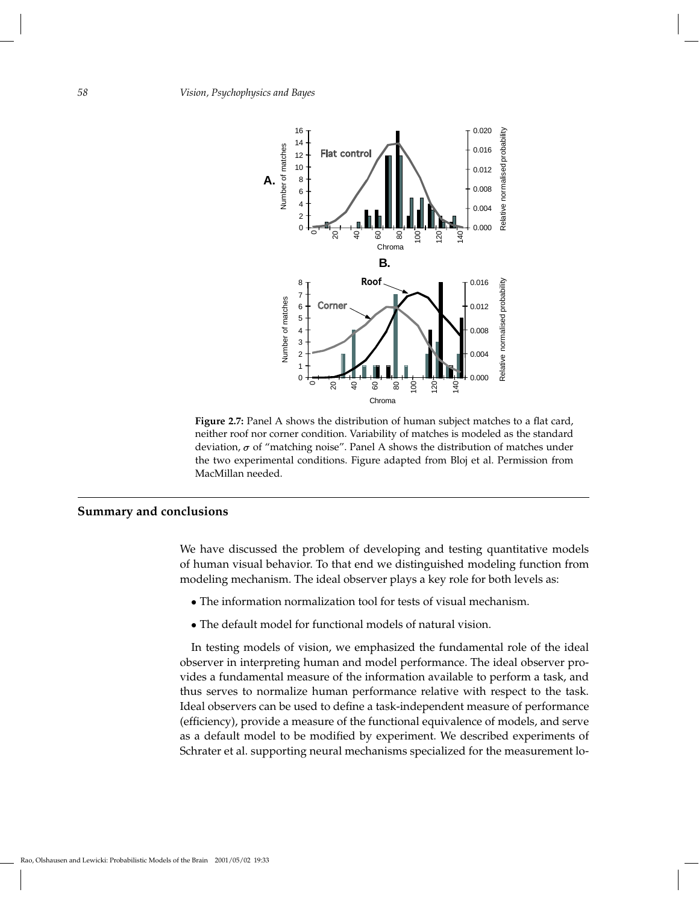

**Figure 2.7:** Panel A shows the distribution of human subject matches to a flat card, neither roof nor corner condition. Variability of matches is modeled as the standard deviation,  $\sigma$  of "matching noise". Panel A shows the distribution of matches under the two experimental conditions. Figure adapted from Bloj et al. Permission from MacMillan needed.

#### **Summary and conclusions**

We have discussed the problem of developing and testing quantitative models of human visual behavior. To that end we distinguished modeling function from modeling mechanism. The ideal observer plays a key role for both levels as:

- The information normalization tool for tests of visual mechanism.
- The default model for functional models of natural vision.

In testing models of vision, we emphasized the fundamental role of the ideal observer in interpreting human and model performance. The ideal observer provides a fundamental measure of the information available to perform a task, and thus serves to normalize human performance relative with respect to the task. Ideal observers can be used to define a task-independent measure of performance (efficiency), provide a measure of the functional equivalence of models, and serve as a default model to be modified by experiment. We described experiments of Schrater et al. supporting neural mechanisms specialized for the measurement lo-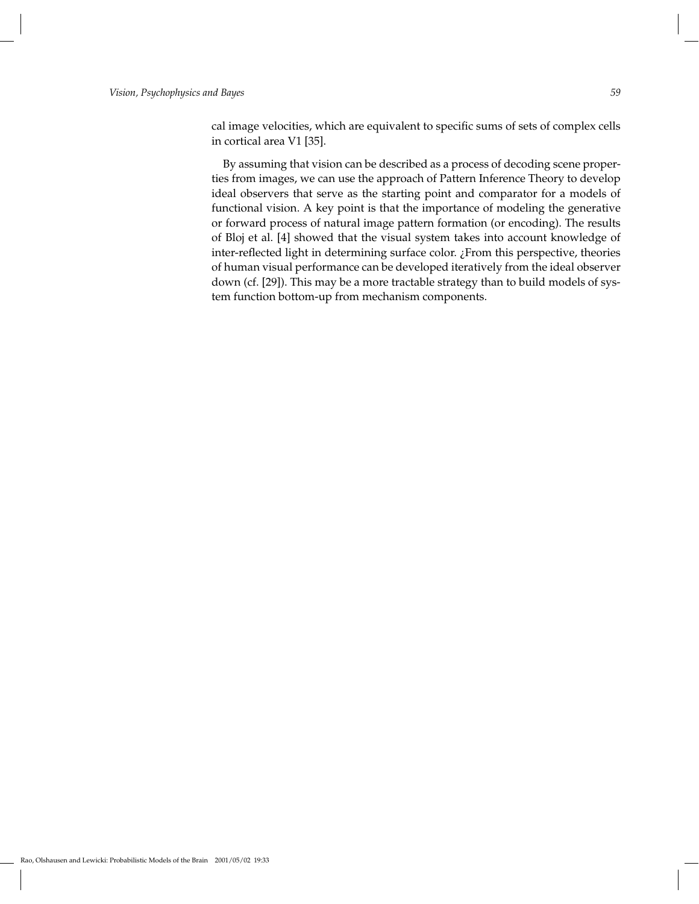cal image velocities, which are equivalent to specific sums of sets of complex cells in cortical area V1 [35].

By assuming that vision can be described as a process of decoding scene properties from images, we can use the approach of Pattern Inference Theory to develop ideal observers that serve as the starting point and comparator for a models of functional vision. A key point is that the importance of modeling the generative or forward process of natural image pattern formation (or encoding). The results of Bloj et al. [4] showed that the visual system takes into account knowledge of inter-reflected light in determining surface color. ¿From this perspective, theories of human visual performance can be developed iteratively from the ideal observer down (cf. [29]). This may be a more tractable strategy than to build models of system function bottom-up from mechanism components.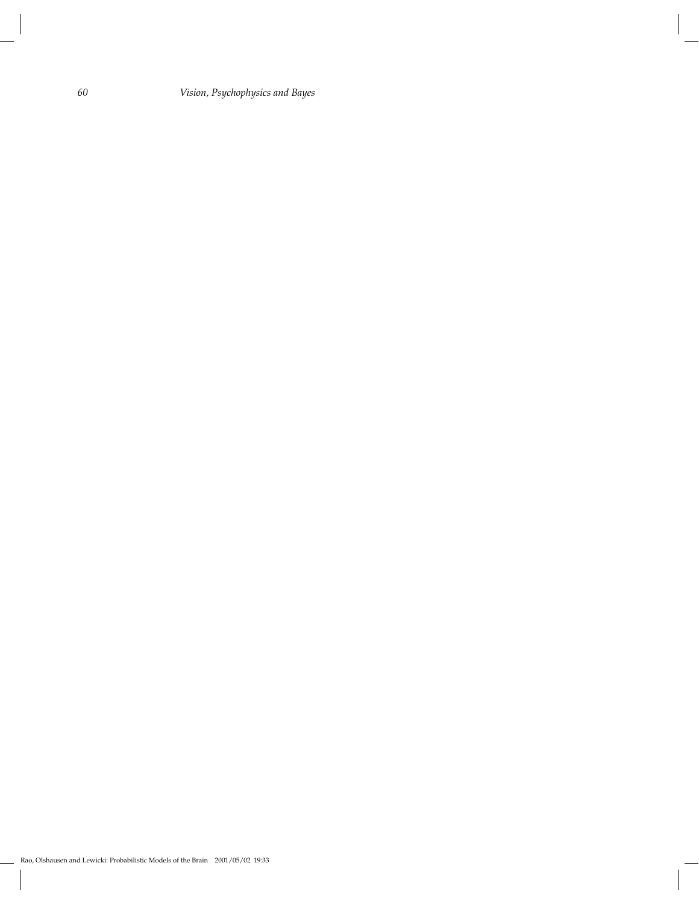*60 Vision, Psychophysics and Bayes*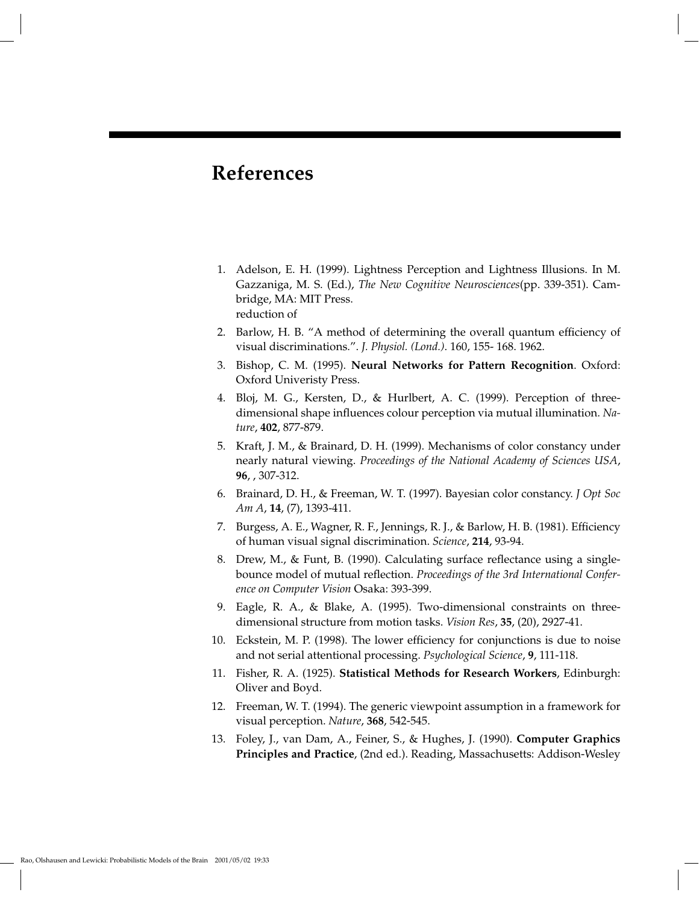# **References**

- 1. Adelson, E. H. (1999). Lightness Perception and Lightness Illusions. In M. Gazzaniga, M. S. (Ed.), *The New Cognitive Neurosciences*(pp. 339-351). Cambridge, MA: MIT Press. reduction of
- 2. Barlow, H. B. "A method of determining the overall quantum efficiency of visual discriminations.". *J. Physiol. (Lond.)*. 160, 155- 168. 1962.
- 3. Bishop, C. M. (1995). **Neural Networks for Pattern Recognition**. Oxford: Oxford Univeristy Press.
- 4. Bloj, M. G., Kersten, D., & Hurlbert, A. C. (1999). Perception of threedimensional shape influences colour perception via mutual illumination. *Nature*, **402**, 877-879.
- 5. Kraft, J. M., & Brainard, D. H. (1999). Mechanisms of color constancy under nearly natural viewing. *Proceedings of the National Academy of Sciences USA*, **96**, , 307-312.
- 6. Brainard, D. H., & Freeman, W. T. (1997). Bayesian color constancy. *J Opt Soc Am A*, **14**, (7), 1393-411.
- 7. Burgess, A. E., Wagner, R. F., Jennings, R. J., & Barlow, H. B. (1981). Efficiency of human visual signal discrimination. *Science*, **214**, 93-94.
- 8. Drew, M., & Funt, B. (1990). Calculating surface reflectance using a singlebounce model of mutual reflection. *Proceedings of the 3rd International Conference on Computer Vision* Osaka: 393-399.
- 9. Eagle, R. A., & Blake, A. (1995). Two-dimensional constraints on threedimensional structure from motion tasks. *Vision Res*, **35**, (20), 2927-41.
- 10. Eckstein, M. P. (1998). The lower efficiency for conjunctions is due to noise and not serial attentional processing. *Psychological Science*, **9**, 111-118.
- 11. Fisher, R. A. (1925). **Statistical Methods for Research Workers**, Edinburgh: Oliver and Boyd.
- 12. Freeman, W. T. (1994). The generic viewpoint assumption in a framework for visual perception. *Nature*, **368**, 542-545.
- 13. Foley, J., van Dam, A., Feiner, S., & Hughes, J. (1990). **Computer Graphics Principles and Practice**, (2nd ed.). Reading, Massachusetts: Addison-Wesley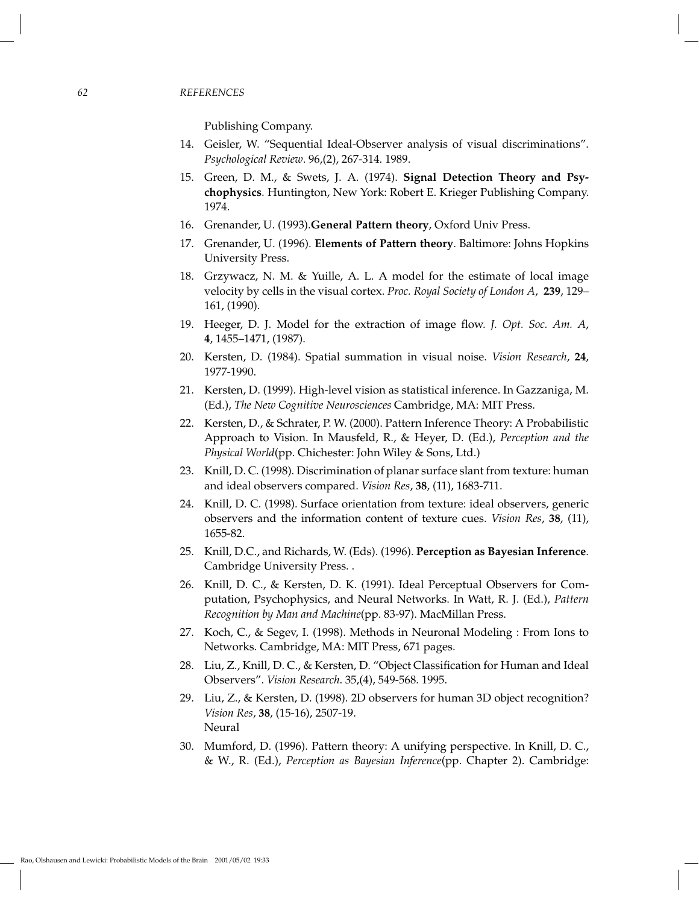## *62 REFERENCES*

Publishing Company.

- 14. Geisler, W. "Sequential Ideal-Observer analysis of visual discriminations". *Psychological Review*. 96,(2), 267-314. 1989.
- 15. Green, D. M., & Swets, J. A. (1974). **Signal Detection Theory and Psychophysics**. Huntington, New York: Robert E. Krieger Publishing Company. 1974.
- 16. Grenander, U. (1993).**General Pattern theory**, Oxford Univ Press.
- 17. Grenander, U. (1996). **Elements of Pattern theory**. Baltimore: Johns Hopkins University Press.
- 18. Grzywacz, N. M. & Yuille, A. L. A model for the estimate of local image velocity by cells in the visual cortex. *Proc. Royal Society of London A*, **239**, 129– 161, (1990).
- 19. Heeger, D. J. Model for the extraction of image flow. *J. Opt. Soc. Am. A*, **4**, 1455–1471, (1987).
- 20. Kersten, D. (1984). Spatial summation in visual noise. *Vision Research*, **24**, 1977-1990.
- 21. Kersten, D. (1999). High-level vision as statistical inference. In Gazzaniga, M. (Ed.), *The New Cognitive Neurosciences* Cambridge, MA: MIT Press.
- 22. Kersten, D., & Schrater, P. W. (2000). Pattern Inference Theory: A Probabilistic Approach to Vision. In Mausfeld, R., & Heyer, D. (Ed.), *Perception and the Physical World*(pp. Chichester: John Wiley & Sons, Ltd.)
- 23. Knill, D. C. (1998). Discrimination of planar surface slant from texture: human and ideal observers compared. *Vision Res*, **38**, (11), 1683-711.
- 24. Knill, D. C. (1998). Surface orientation from texture: ideal observers, generic observers and the information content of texture cues. *Vision Res*, **38**, (11), 1655-82.
- 25. Knill, D.C., and Richards, W. (Eds). (1996). **Perception as Bayesian Inference**. Cambridge University Press. .
- 26. Knill, D. C., & Kersten, D. K. (1991). Ideal Perceptual Observers for Computation, Psychophysics, and Neural Networks. In Watt, R. J. (Ed.), *Pattern Recognition by Man and Machine*(pp. 83-97). MacMillan Press.
- 27. Koch, C., & Segev, I. (1998). Methods in Neuronal Modeling : From Ions to Networks. Cambridge, MA: MIT Press, 671 pages.
- 28. Liu, Z., Knill, D. C., & Kersten, D. "Object Classification for Human and Ideal Observers". *Vision Research*. 35,(4), 549-568. 1995.
- 29. Liu, Z., & Kersten, D. (1998). 2D observers for human 3D object recognition? *Vision Res*, **38**, (15-16), 2507-19. Neural
- 30. Mumford, D. (1996). Pattern theory: A unifying perspective. In Knill, D. C., & W., R. (Ed.), *Perception as Bayesian Inference*(pp. Chapter 2). Cambridge: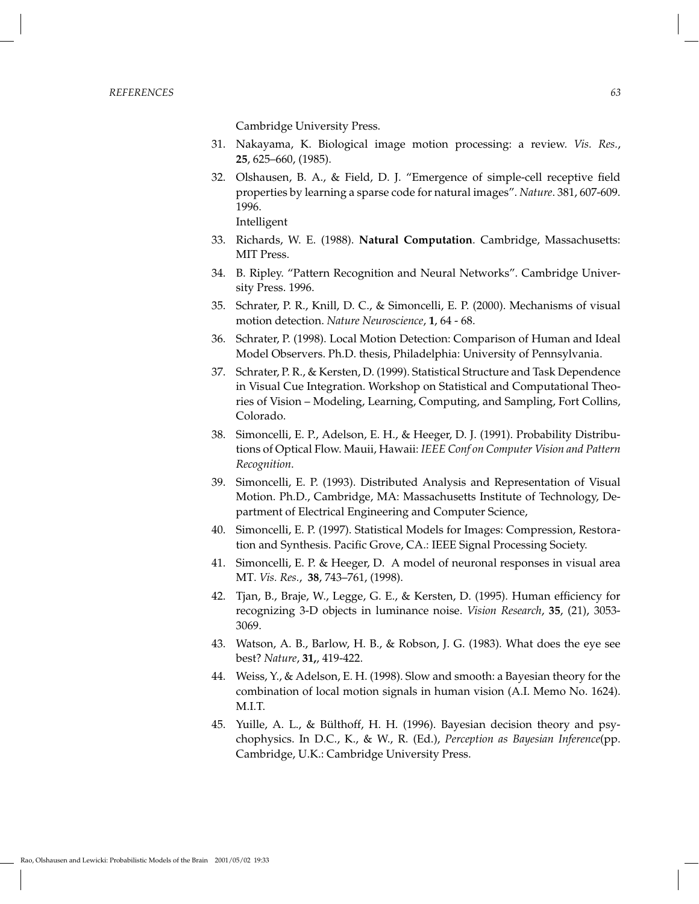Cambridge University Press.

- 31. Nakayama, K. Biological image motion processing: a review. *Vis. Res.*, **25**, 625–660, (1985).
- 32. Olshausen, B. A., & Field, D. J. "Emergence of simple-cell receptive field properties by learning a sparse code for natural images". *Nature*. 381, 607-609. 1996. Intelligent
- 33. Richards, W. E. (1988). **Natural Computation**. Cambridge, Massachusetts: MIT Press.
- 34. B. Ripley. "Pattern Recognition and Neural Networks". Cambridge University Press. 1996.
- 35. Schrater, P. R., Knill, D. C., & Simoncelli, E. P. (2000). Mechanisms of visual motion detection. *Nature Neuroscience*, **1**, 64 - 68.
- 36. Schrater, P. (1998). Local Motion Detection: Comparison of Human and Ideal Model Observers. Ph.D. thesis, Philadelphia: University of Pennsylvania.
- 37. Schrater, P. R., & Kersten, D. (1999). Statistical Structure and Task Dependence in Visual Cue Integration. Workshop on Statistical and Computational Theories of Vision – Modeling, Learning, Computing, and Sampling, Fort Collins, Colorado.
- 38. Simoncelli, E. P., Adelson, E. H., & Heeger, D. J. (1991). Probability Distributions of Optical Flow. Mauii, Hawaii: *IEEE Conf on Computer Vision and Pattern Recognition*.
- 39. Simoncelli, E. P. (1993). Distributed Analysis and Representation of Visual Motion. Ph.D., Cambridge, MA: Massachusetts Institute of Technology, Department of Electrical Engineering and Computer Science,
- 40. Simoncelli, E. P. (1997). Statistical Models for Images: Compression, Restoration and Synthesis. Pacific Grove, CA.: IEEE Signal Processing Society.
- 41. Simoncelli, E. P. & Heeger, D. A model of neuronal responses in visual area MT. *Vis. Res.*, **38**, 743–761, (1998).
- 42. Tjan, B., Braje, W., Legge, G. E., & Kersten, D. (1995). Human efficiency for recognizing 3-D objects in luminance noise. *Vision Research*, **35**, (21), 3053- 3069.
- 43. Watson, A. B., Barlow, H. B., & Robson, J. G. (1983). What does the eye see best? *Nature*, **31,**, 419-422.
- 44. Weiss, Y., & Adelson, E. H. (1998). Slow and smooth: a Bayesian theory for the combination of local motion signals in human vision (A.I. Memo No. 1624). M.I.T.
- 45. Yuille, A. L., & Bülthoff, H. H. (1996). Bayesian decision theory and psychophysics. In D.C., K., & W., R. (Ed.), *Perception as Bayesian Inference*(pp. Cambridge, U.K.: Cambridge University Press.